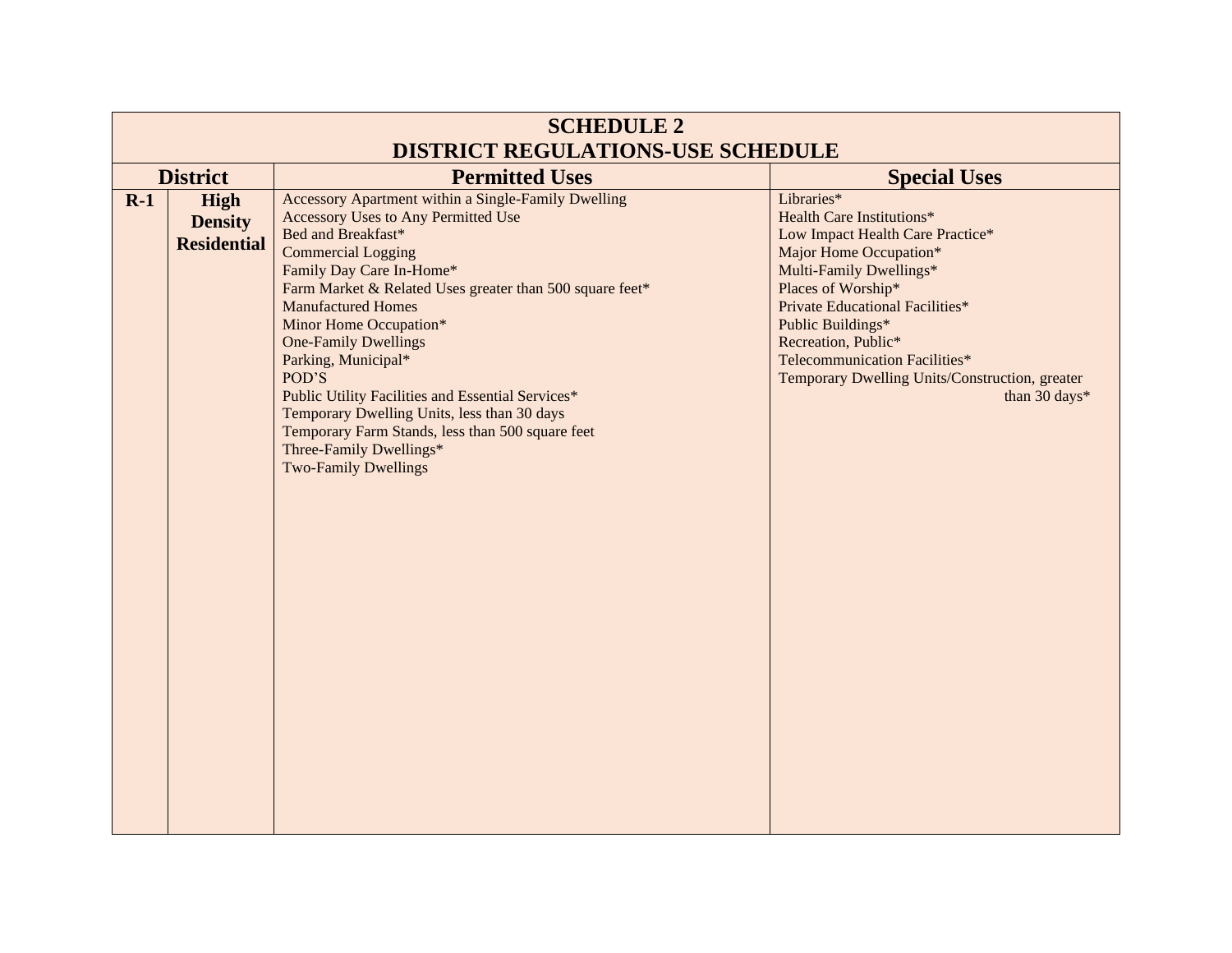| <b>SCHEDULE 2</b><br><b>DISTRICT REGULATIONS-USE SCHEDULE</b> |                                                                 |                                                                                                                                                                                                                                                                                                                                                                                                                                                                                                                                                                                      |                                                                                                                                                                                                                                                                                                                                                  |  |  |
|---------------------------------------------------------------|-----------------------------------------------------------------|--------------------------------------------------------------------------------------------------------------------------------------------------------------------------------------------------------------------------------------------------------------------------------------------------------------------------------------------------------------------------------------------------------------------------------------------------------------------------------------------------------------------------------------------------------------------------------------|--------------------------------------------------------------------------------------------------------------------------------------------------------------------------------------------------------------------------------------------------------------------------------------------------------------------------------------------------|--|--|
|                                                               | <b>District</b><br><b>Special Uses</b><br><b>Permitted Uses</b> |                                                                                                                                                                                                                                                                                                                                                                                                                                                                                                                                                                                      |                                                                                                                                                                                                                                                                                                                                                  |  |  |
| $R-1$                                                         | <b>High</b><br><b>Density</b><br><b>Residential</b>             | Accessory Apartment within a Single-Family Dwelling<br><b>Accessory Uses to Any Permitted Use</b><br>Bed and Breakfast*<br><b>Commercial Logging</b><br>Family Day Care In-Home*<br>Farm Market & Related Uses greater than 500 square feet*<br><b>Manufactured Homes</b><br>Minor Home Occupation*<br><b>One-Family Dwellings</b><br>Parking, Municipal*<br>POD'S<br>Public Utility Facilities and Essential Services*<br>Temporary Dwelling Units, less than 30 days<br>Temporary Farm Stands, less than 500 square feet<br>Three-Family Dwellings*<br><b>Two-Family Dwellings</b> | Libraries*<br><b>Health Care Institutions*</b><br>Low Impact Health Care Practice*<br>Major Home Occupation*<br>Multi-Family Dwellings*<br>Places of Worship*<br>Private Educational Facilities*<br>Public Buildings*<br>Recreation, Public*<br>Telecommunication Facilities*<br>Temporary Dwelling Units/Construction, greater<br>than 30 days* |  |  |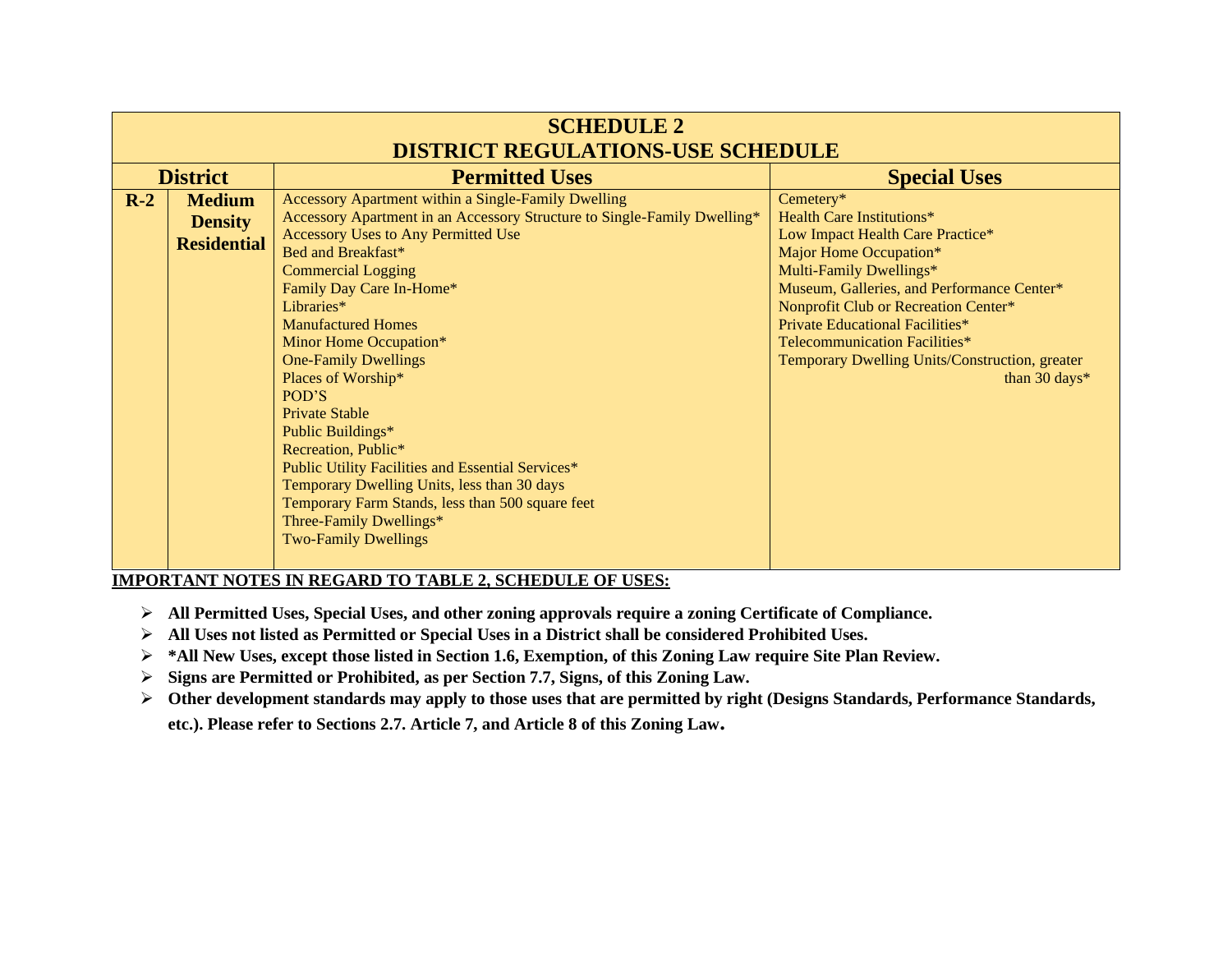| <b>SCHEDULE 2</b>                        |                                                       |                                                                                                                                                                                                                                                                                                                                                                                                                                                                                                                                                                                                                                                                                 |                                                                                                                                                                                                                                                                                                                                                                            |  |
|------------------------------------------|-------------------------------------------------------|---------------------------------------------------------------------------------------------------------------------------------------------------------------------------------------------------------------------------------------------------------------------------------------------------------------------------------------------------------------------------------------------------------------------------------------------------------------------------------------------------------------------------------------------------------------------------------------------------------------------------------------------------------------------------------|----------------------------------------------------------------------------------------------------------------------------------------------------------------------------------------------------------------------------------------------------------------------------------------------------------------------------------------------------------------------------|--|
| <b>DISTRICT REGULATIONS-USE SCHEDULE</b> |                                                       |                                                                                                                                                                                                                                                                                                                                                                                                                                                                                                                                                                                                                                                                                 |                                                                                                                                                                                                                                                                                                                                                                            |  |
|                                          | <b>District</b>                                       | <b>Permitted Uses</b>                                                                                                                                                                                                                                                                                                                                                                                                                                                                                                                                                                                                                                                           | <b>Special Uses</b>                                                                                                                                                                                                                                                                                                                                                        |  |
| $R-2$                                    | <b>Medium</b><br><b>Density</b><br><b>Residential</b> | Accessory Apartment within a Single-Family Dwelling<br>Accessory Apartment in an Accessory Structure to Single-Family Dwelling*<br>Accessory Uses to Any Permitted Use<br>Bed and Breakfast*<br><b>Commercial Logging</b><br>Family Day Care In-Home*<br>Libraries*<br><b>Manufactured Homes</b><br>Minor Home Occupation*<br><b>One-Family Dwellings</b><br>Places of Worship*<br>POD'S<br><b>Private Stable</b><br>Public Buildings*<br>Recreation, Public*<br>Public Utility Facilities and Essential Services*<br>Temporary Dwelling Units, less than 30 days<br>Temporary Farm Stands, less than 500 square feet<br>Three-Family Dwellings*<br><b>Two-Family Dwellings</b> | Cemetery*<br><b>Health Care Institutions*</b><br>Low Impact Health Care Practice*<br>Major Home Occupation*<br>Multi-Family Dwellings*<br>Museum, Galleries, and Performance Center*<br>Nonprofit Club or Recreation Center*<br><b>Private Educational Facilities*</b><br>Telecommunication Facilities*<br>Temporary Dwelling Units/Construction, greater<br>than 30 days* |  |

- ➢ **All Permitted Uses, Special Uses, and other zoning approvals require a zoning Certificate of Compliance.**
- ➢ **All Uses not listed as Permitted or Special Uses in a District shall be considered Prohibited Uses.**
- ➢ **\*All New Uses, except those listed in Section 1.6, Exemption, of this Zoning Law require Site Plan Review.**
- ➢ **Signs are Permitted or Prohibited, as per Section 7.7, Signs, of this Zoning Law.**
- ➢ **Other development standards may apply to those uses that are permitted by right (Designs Standards, Performance Standards, etc.). Please refer to Sections 2.7. Article 7, and Article 8 of this Zoning Law.**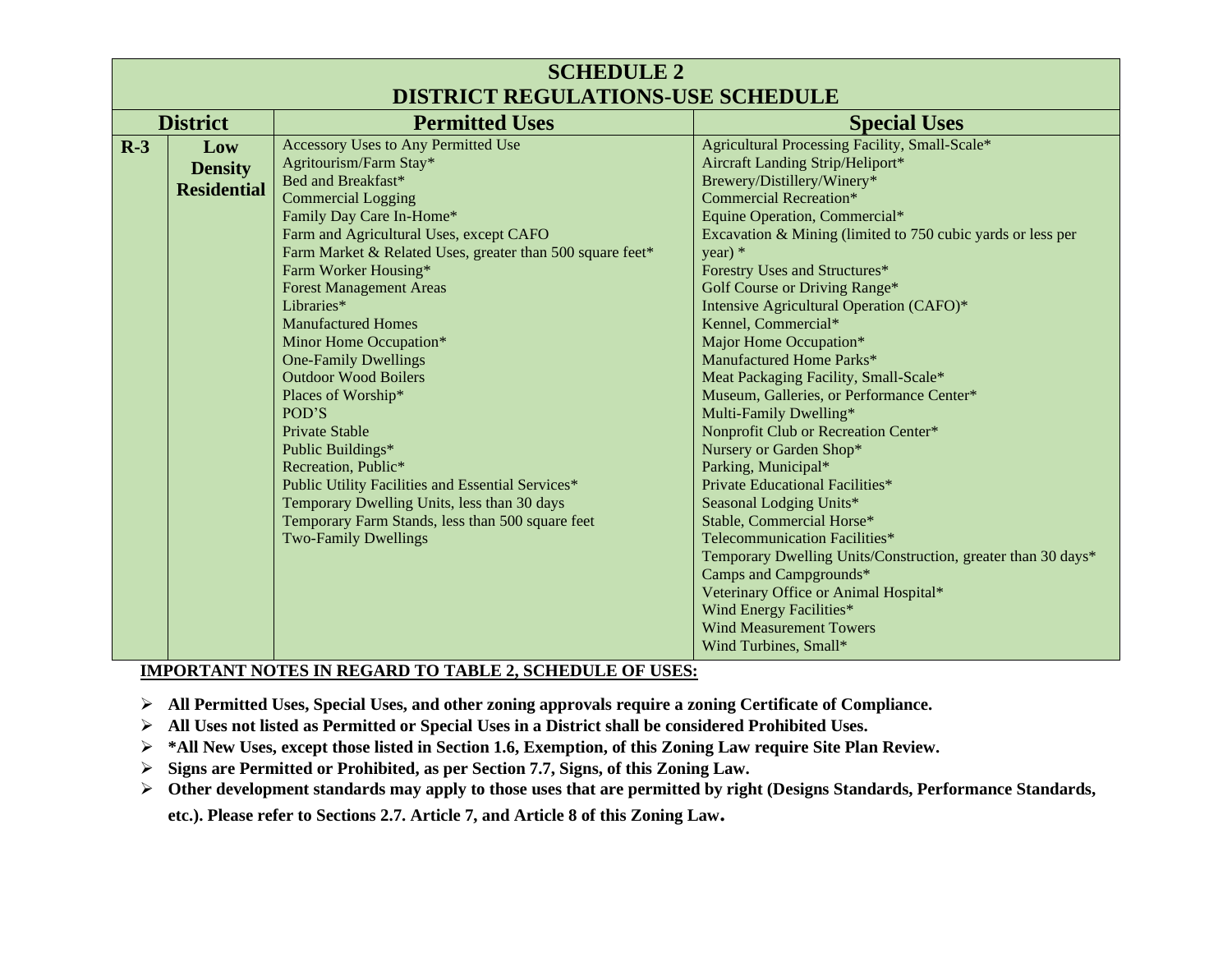| <b>SCHEDULE 2</b><br><b>DISTRICT REGULATIONS-USE SCHEDULE</b> |                                             |                                                                                                                                                                                                                                                                                                                                                                                                                                                                                                                                                                                                                                                                                                                                                     |                                                                                                                                                                                                                                                                                                                                                                                                                                                                                                                                                                                                                                                                                                                                                                                                                                                                                                                                                                                                                          |
|---------------------------------------------------------------|---------------------------------------------|-----------------------------------------------------------------------------------------------------------------------------------------------------------------------------------------------------------------------------------------------------------------------------------------------------------------------------------------------------------------------------------------------------------------------------------------------------------------------------------------------------------------------------------------------------------------------------------------------------------------------------------------------------------------------------------------------------------------------------------------------------|--------------------------------------------------------------------------------------------------------------------------------------------------------------------------------------------------------------------------------------------------------------------------------------------------------------------------------------------------------------------------------------------------------------------------------------------------------------------------------------------------------------------------------------------------------------------------------------------------------------------------------------------------------------------------------------------------------------------------------------------------------------------------------------------------------------------------------------------------------------------------------------------------------------------------------------------------------------------------------------------------------------------------|
| <b>District</b>                                               |                                             | <b>Permitted Uses</b>                                                                                                                                                                                                                                                                                                                                                                                                                                                                                                                                                                                                                                                                                                                               | <b>Special Uses</b>                                                                                                                                                                                                                                                                                                                                                                                                                                                                                                                                                                                                                                                                                                                                                                                                                                                                                                                                                                                                      |
| $R-3$                                                         | Low<br><b>Density</b><br><b>Residential</b> | <b>Accessory Uses to Any Permitted Use</b><br>Agritourism/Farm Stay*<br>Bed and Breakfast*<br><b>Commercial Logging</b><br>Family Day Care In-Home*<br>Farm and Agricultural Uses, except CAFO<br>Farm Market & Related Uses, greater than 500 square feet*<br>Farm Worker Housing*<br><b>Forest Management Areas</b><br>Libraries*<br><b>Manufactured Homes</b><br>Minor Home Occupation*<br><b>One-Family Dwellings</b><br><b>Outdoor Wood Boilers</b><br>Places of Worship*<br>POD'S<br><b>Private Stable</b><br>Public Buildings*<br>Recreation, Public*<br>Public Utility Facilities and Essential Services*<br>Temporary Dwelling Units, less than 30 days<br>Temporary Farm Stands, less than 500 square feet<br><b>Two-Family Dwellings</b> | Agricultural Processing Facility, Small-Scale*<br>Aircraft Landing Strip/Heliport*<br>Brewery/Distillery/Winery*<br><b>Commercial Recreation*</b><br>Equine Operation, Commercial*<br>Excavation & Mining (limited to 750 cubic yards or less per<br>year) $*$<br>Forestry Uses and Structures*<br>Golf Course or Driving Range*<br>Intensive Agricultural Operation (CAFO)*<br>Kennel, Commercial*<br>Major Home Occupation*<br>Manufactured Home Parks*<br>Meat Packaging Facility, Small-Scale*<br>Museum, Galleries, or Performance Center*<br>Multi-Family Dwelling*<br>Nonprofit Club or Recreation Center*<br>Nursery or Garden Shop*<br>Parking, Municipal*<br>Private Educational Facilities*<br>Seasonal Lodging Units*<br>Stable, Commercial Horse*<br>Telecommunication Facilities*<br>Temporary Dwelling Units/Construction, greater than 30 days*<br>Camps and Campgrounds*<br>Veterinary Office or Animal Hospital*<br>Wind Energy Facilities*<br><b>Wind Measurement Towers</b><br>Wind Turbines, Small* |

- ➢ **All Permitted Uses, Special Uses, and other zoning approvals require a zoning Certificate of Compliance.**
- ➢ **All Uses not listed as Permitted or Special Uses in a District shall be considered Prohibited Uses.**
- ➢ **\*All New Uses, except those listed in Section 1.6, Exemption, of this Zoning Law require Site Plan Review.**
- ➢ **Signs are Permitted or Prohibited, as per Section 7.7, Signs, of this Zoning Law.**
- ➢ **Other development standards may apply to those uses that are permitted by right (Designs Standards, Performance Standards,**

**etc.). Please refer to Sections 2.7. Article 7, and Article 8 of this Zoning Law.**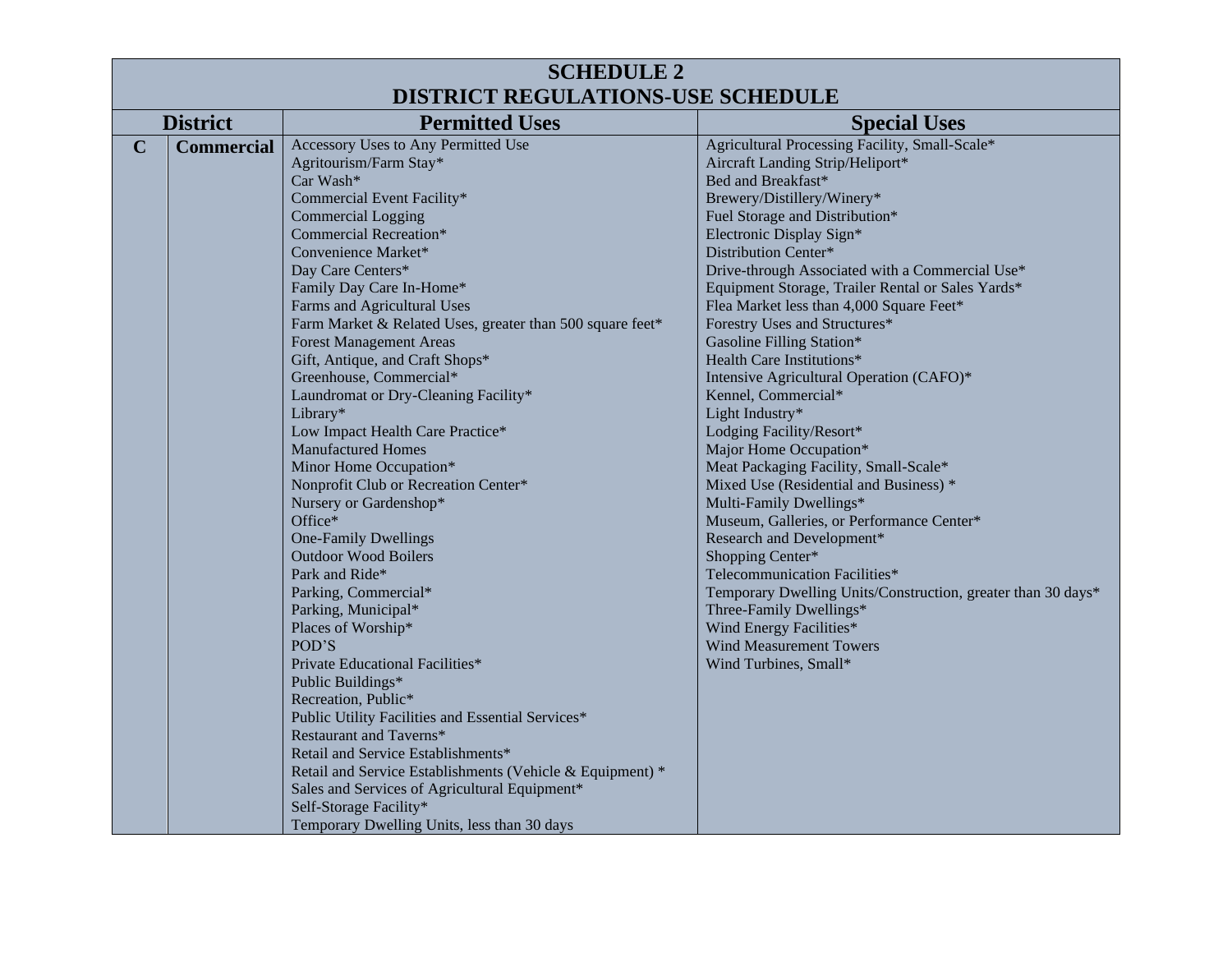| <b>SCHEDULE 2</b>                                                                                                                                                                                                                                                                                                                                                                                                                                                                                                                                                                                                                                                                                                                                                                                                                                                                                                                                                                                                                                     |  |  |  |  |
|-------------------------------------------------------------------------------------------------------------------------------------------------------------------------------------------------------------------------------------------------------------------------------------------------------------------------------------------------------------------------------------------------------------------------------------------------------------------------------------------------------------------------------------------------------------------------------------------------------------------------------------------------------------------------------------------------------------------------------------------------------------------------------------------------------------------------------------------------------------------------------------------------------------------------------------------------------------------------------------------------------------------------------------------------------|--|--|--|--|
| <b>DISTRICT REGULATIONS-USE SCHEDULE</b>                                                                                                                                                                                                                                                                                                                                                                                                                                                                                                                                                                                                                                                                                                                                                                                                                                                                                                                                                                                                              |  |  |  |  |
| <b>Special Uses</b>                                                                                                                                                                                                                                                                                                                                                                                                                                                                                                                                                                                                                                                                                                                                                                                                                                                                                                                                                                                                                                   |  |  |  |  |
| Agricultural Processing Facility, Small-Scale*<br>Aircraft Landing Strip/Heliport*<br>Bed and Breakfast*<br>Brewery/Distillery/Winery*<br>Fuel Storage and Distribution*<br>Electronic Display Sign*<br>Distribution Center*<br>Drive-through Associated with a Commercial Use*<br>Equipment Storage, Trailer Rental or Sales Yards*<br>Flea Market less than 4,000 Square Feet*<br>Forestry Uses and Structures*<br>Gasoline Filling Station*<br>Health Care Institutions*<br>Intensive Agricultural Operation (CAFO)*<br>Kennel, Commercial*<br>Light Industry*<br>Lodging Facility/Resort*<br>Major Home Occupation*<br>Meat Packaging Facility, Small-Scale*<br>Mixed Use (Residential and Business) *<br>Multi-Family Dwellings*<br>Museum, Galleries, or Performance Center*<br>Research and Development*<br>Shopping Center*<br>Telecommunication Facilities*<br>Temporary Dwelling Units/Construction, greater than 30 days*<br>Three-Family Dwellings*<br>Wind Energy Facilities*<br><b>Wind Measurement Towers</b><br>Wind Turbines, Small* |  |  |  |  |
|                                                                                                                                                                                                                                                                                                                                                                                                                                                                                                                                                                                                                                                                                                                                                                                                                                                                                                                                                                                                                                                       |  |  |  |  |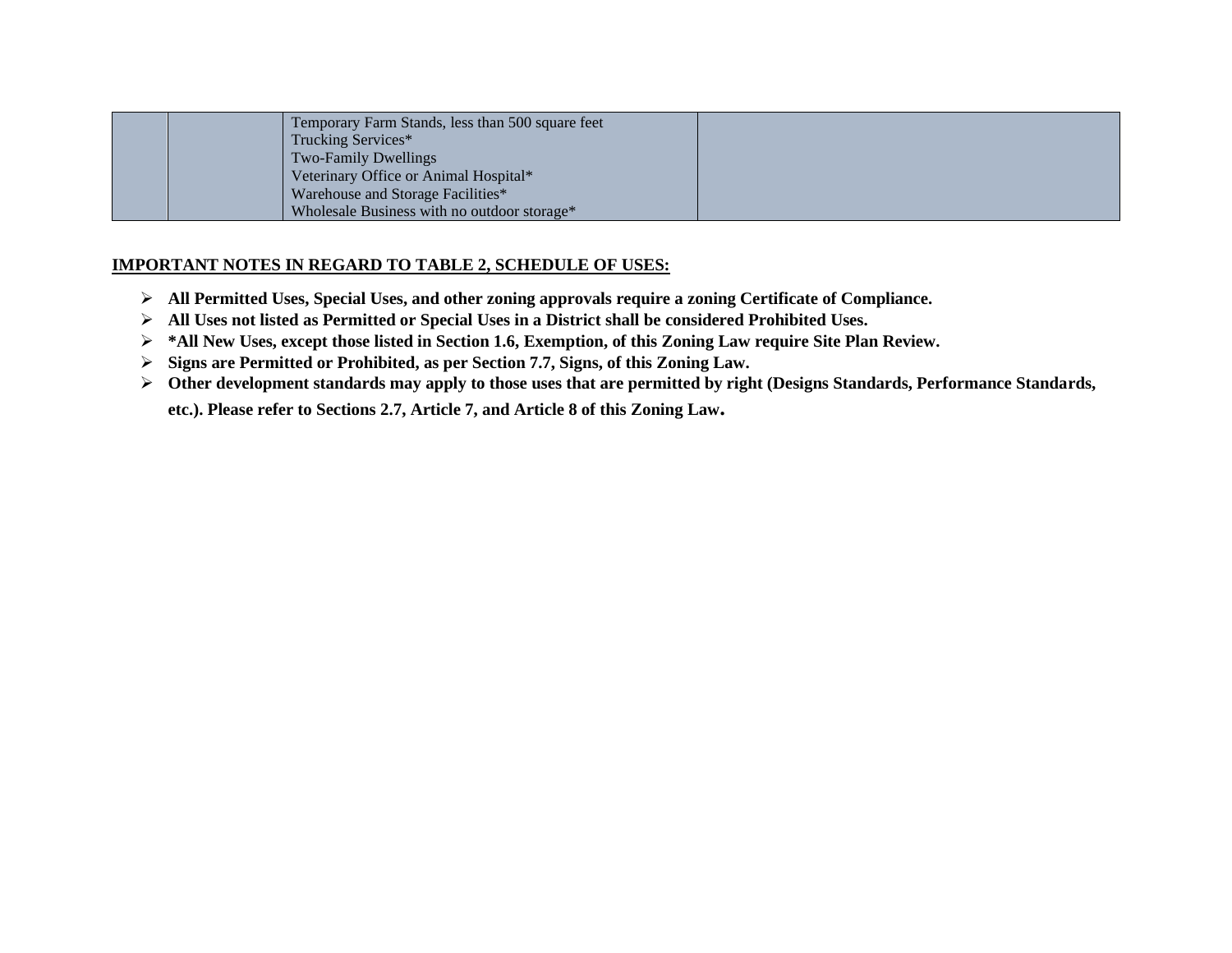| Temporary Farm Stands, less than 500 square feet        |  |
|---------------------------------------------------------|--|
| Trucking Services*                                      |  |
| <b>Two-Family Dwellings</b>                             |  |
| Veterinary Office or Animal Hospital*                   |  |
| Warehouse and Storage Facilities*                       |  |
| Wholesale Business with no outdoor storage <sup>*</sup> |  |

- ➢ **All Permitted Uses, Special Uses, and other zoning approvals require a zoning Certificate of Compliance.**
- ➢ **All Uses not listed as Permitted or Special Uses in a District shall be considered Prohibited Uses.**
- ➢ **\*All New Uses, except those listed in Section 1.6, Exemption, of this Zoning Law require Site Plan Review.**
- ➢ **Signs are Permitted or Prohibited, as per Section 7.7, Signs, of this Zoning Law.**
- ➢ **Other development standards may apply to those uses that are permitted by right (Designs Standards, Performance Standards,**

**etc.). Please refer to Sections 2.7, Article 7, and Article 8 of this Zoning Law.**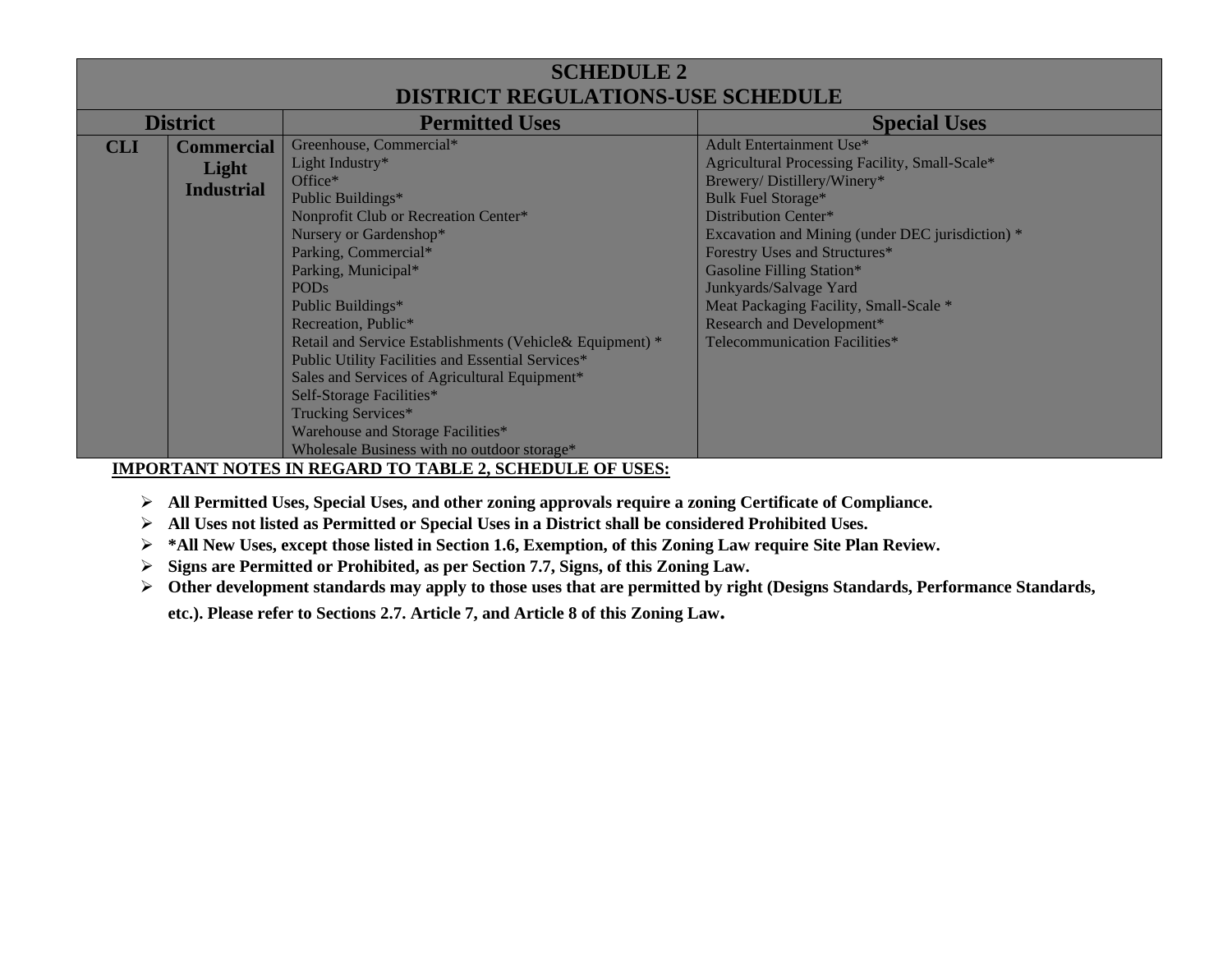# **SCHEDULE 2 DISTRICT REGULATIONS-USE SCHEDULE**

| <b>District</b> |                   | <b>Permitted Uses</b>                                    | <b>Special Uses</b>                              |
|-----------------|-------------------|----------------------------------------------------------|--------------------------------------------------|
| <b>CLI</b>      | <b>Commercial</b> | Greenhouse, Commercial*                                  | <b>Adult Entertainment Use*</b>                  |
|                 | Light             | Light Industry*                                          | Agricultural Processing Facility, Small-Scale*   |
|                 |                   | Office*                                                  | Brewery/Distillery/Winery*                       |
|                 | <b>Industrial</b> | Public Buildings*                                        | <b>Bulk Fuel Storage*</b>                        |
|                 |                   | Nonprofit Club or Recreation Center*                     | Distribution Center*                             |
|                 |                   | Nursery or Gardenshop*                                   | Excavation and Mining (under DEC jurisdiction) * |
|                 |                   | Parking, Commercial*                                     | Forestry Uses and Structures*                    |
|                 |                   | Parking, Municipal*                                      | Gasoline Filling Station*                        |
|                 |                   | <b>PODs</b>                                              | Junkyards/Salvage Yard                           |
|                 |                   | Public Buildings*                                        | Meat Packaging Facility, Small-Scale *           |
|                 |                   | Recreation, Public*                                      | Research and Development*                        |
|                 |                   | Retail and Service Establishments (Vehicle& Equipment) * | Telecommunication Facilities*                    |
|                 |                   | Public Utility Facilities and Essential Services*        |                                                  |
|                 |                   | Sales and Services of Agricultural Equipment*            |                                                  |
|                 |                   | Self-Storage Facilities*                                 |                                                  |
|                 |                   | Trucking Services*                                       |                                                  |
|                 |                   | Warehouse and Storage Facilities*                        |                                                  |
|                 |                   | Wholesale Business with no outdoor storage*              |                                                  |

**IMPORTANT NOTES IN REGARD TO TABLE 2, SCHEDULE OF USES:**

- ➢ **All Permitted Uses, Special Uses, and other zoning approvals require a zoning Certificate of Compliance.**
- ➢ **All Uses not listed as Permitted or Special Uses in a District shall be considered Prohibited Uses.**
- ➢ **\*All New Uses, except those listed in Section 1.6, Exemption, of this Zoning Law require Site Plan Review.**
- ➢ **Signs are Permitted or Prohibited, as per Section 7.7, Signs, of this Zoning Law.**
- ➢ **Other development standards may apply to those uses that are permitted by right (Designs Standards, Performance Standards,**

**etc.). Please refer to Sections 2.7. Article 7, and Article 8 of this Zoning Law.**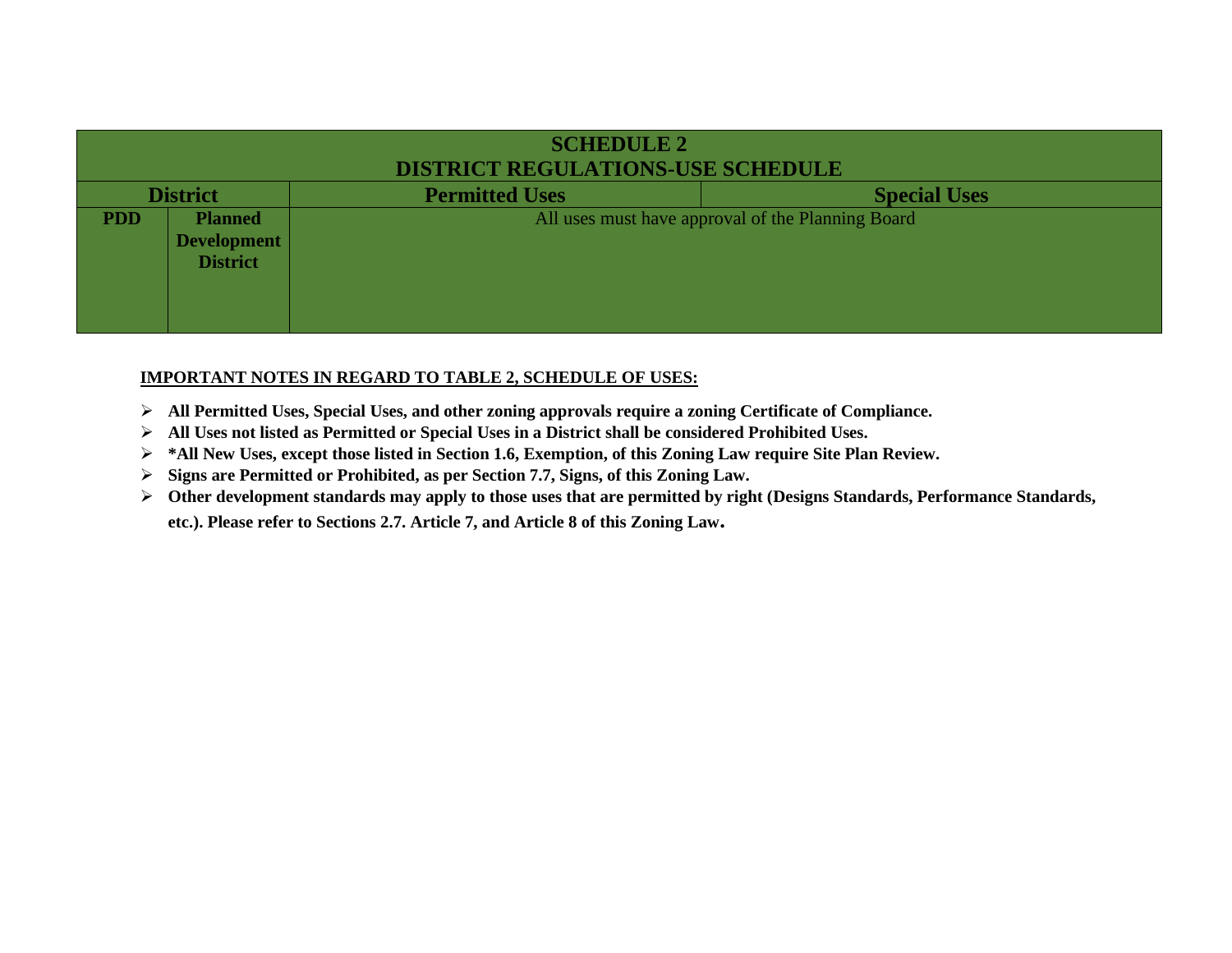| <b>SCHEDULE 2</b>                        |                                                         |                       |                                                   |
|------------------------------------------|---------------------------------------------------------|-----------------------|---------------------------------------------------|
| <b>DISTRICT REGULATIONS-USE SCHEDULE</b> |                                                         |                       |                                                   |
| <b>District</b>                          |                                                         | <b>Permitted Uses</b> | <b>Special Uses</b>                               |
| <b>PDD</b>                               | <b>Planned</b><br><b>Development</b><br><b>District</b> |                       | All uses must have approval of the Planning Board |

- ➢ **All Permitted Uses, Special Uses, and other zoning approvals require a zoning Certificate of Compliance.**
- ➢ **All Uses not listed as Permitted or Special Uses in a District shall be considered Prohibited Uses.**
- ➢ **\*All New Uses, except those listed in Section 1.6, Exemption, of this Zoning Law require Site Plan Review.**
- ➢ **Signs are Permitted or Prohibited, as per Section 7.7, Signs, of this Zoning Law.**
- ➢ **Other development standards may apply to those uses that are permitted by right (Designs Standards, Performance Standards,**

**etc.). Please refer to Sections 2.7. Article 7, and Article 8 of this Zoning Law.**